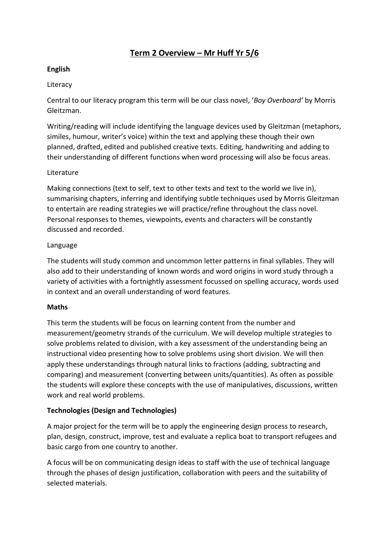# **Term 2 Overview – Mr Huff Yr 5/6**

## **English**

## Literacy

Central to our literacy program this term will be our class novel, '*Boy Overboard'* by Morris Gleitzman.

Writing/reading will include identifying the language devices used by Gleitzman (metaphors, similes, humour, writer's voice) within the text and applying these though their own planned, drafted, edited and published creative texts. Editing, handwriting and adding to their understanding of different functions when word processing will also be focus areas.

## Literature

Making connections (text to self, text to other texts and text to the world we live in), summarising chapters, inferring and identifying subtle techniques used by Morris Gleitzman to entertain are reading strategies we will practice/refine throughout the class novel. Personal responses to themes, viewpoints, events and characters will be constantly discussed and recorded.

## Language

The students will study common and uncommon letter patterns in final syllables. They will also add to their understanding of known words and word origins in word study through a variety of activities with a fortnightly assessment focussed on spelling accuracy, words used in context and an overall understanding of word features.

## **Maths**

This term the students will be focus on learning content from the number and measurement/geometry strands of the curriculum. We will develop multiple strategies to solve problems related to division, with a key assessment of the understanding being an instructional video presenting how to solve problems using short division. We will then apply these understandings through natural links to fractions (adding, subtracting and comparing) and measurement (converting between units/quantities). As often as possible the students will explore these concepts with the use of manipulatives, discussions, written work and real world problems.

## **Technologies (Design and Technologies)**

A major project for the term will be to apply the engineering design process to research, plan, design, construct, improve, test and evaluate a replica boat to transport refugees and basic cargo from one country to another.

A focus will be on communicating design ideas to staff with the use of technical language through the phases of design justification, collaboration with peers and the suitability of selected materials.